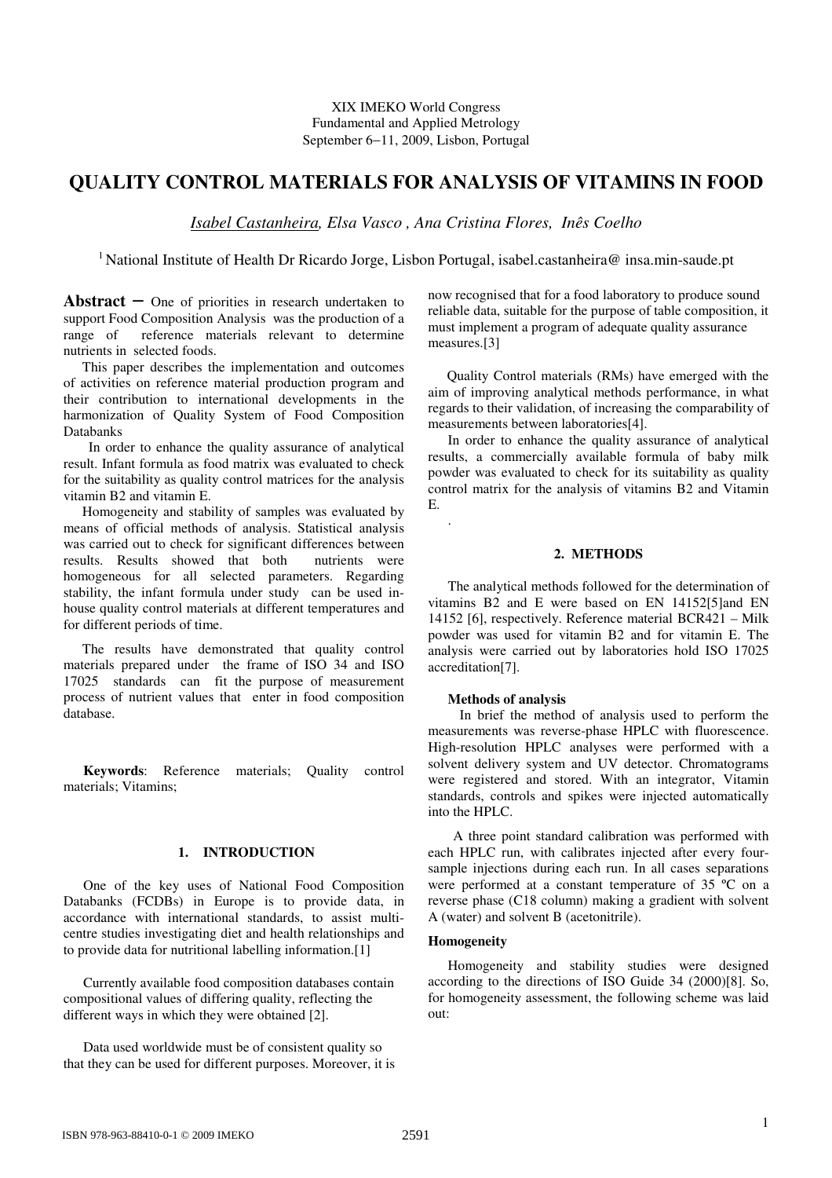XIX IMEKO World Congress Fundamental and Applied Metrology September 6−11, 2009, Lisbon, Portugal

# **QUALITY CONTROL MATERIALS FOR ANALYSIS OF VITAMINS IN FOOD**

*Isabel Castanheira, Elsa Vasco , Ana Cristina Flores, Inês Coelho*

<sup>1</sup> National Institute of Health Dr Ricardo Jorge, Lisbon Portugal, isabel.castanheira@ insa.min-saude.pt

.

**Abstract** − One of priorities in research undertaken to support Food Composition Analysis was the production of a range of reference materials relevant to determine nutrients in selected foods.

This paper describes the implementation and outcomes of activities on reference material production program and their contribution to international developments in the harmonization of Quality System of Food Composition Databanks

In order to enhance the quality assurance of analytical result. Infant formula as food matrix was evaluated to check for the suitability as quality control matrices for the analysis vitamin B2 and vitamin E.

Homogeneity and stability of samples was evaluated by means of official methods of analysis. Statistical analysis was carried out to check for significant differences between results. Results showed that both nutrients were homogeneous for all selected parameters. Regarding stability, the infant formula under study can be used inhouse quality control materials at different temperatures and for different periods of time.

The results have demonstrated that quality control materials prepared under the frame of ISO 34 and ISO 17025 standards can fit the purpose of measurement process of nutrient values that enter in food composition database.

**Keywords**: Reference materials; Quality control materials; Vitamins;

## **1. INTRODUCTION**

One of the key uses of National Food Composition Databanks (FCDBs) in Europe is to provide data, in accordance with international standards, to assist multicentre studies investigating diet and health relationships and to provide data for nutritional labelling information.[1]

Currently available food composition databases contain compositional values of differing quality, reflecting the different ways in which they were obtained [2].

Data used worldwide must be of consistent quality so that they can be used for different purposes. Moreover, it is now recognised that for a food laboratory to produce sound reliable data, suitable for the purpose of table composition, it must implement a program of adequate quality assurance measures.[3]

Quality Control materials (RMs) have emerged with the aim of improving analytical methods performance, in what regards to their validation, of increasing the comparability of measurements between laboratories[4].

In order to enhance the quality assurance of analytical results, a commercially available formula of baby milk powder was evaluated to check for its suitability as quality control matrix for the analysis of vitamins B2 and Vitamin E.

### **2. METHODS**

The analytical methods followed for the determination of vitamins B2 and E were based on EN 14152[5]and EN 14152 [6], respectively. Reference material BCR421 – Milk powder was used for vitamin B2 and for vitamin E. The analysis were carried out by laboratories hold ISO 17025 accreditation[7].

### **Methods of analysis**

In brief the method of analysis used to perform the measurements was reverse-phase HPLC with fluorescence. High-resolution HPLC analyses were performed with a solvent delivery system and UV detector. Chromatograms were registered and stored. With an integrator, Vitamin standards, controls and spikes were injected automatically into the HPLC.

A three point standard calibration was performed with each HPLC run, with calibrates injected after every foursample injections during each run. In all cases separations were performed at a constant temperature of 35 ºC on a reverse phase (C18 column) making a gradient with solvent A (water) and solvent B (acetonitrile).

### **Homogeneity**

Homogeneity and stability studies were designed according to the directions of ISO Guide 34 (2000)[8]. So, for homogeneity assessment, the following scheme was laid out: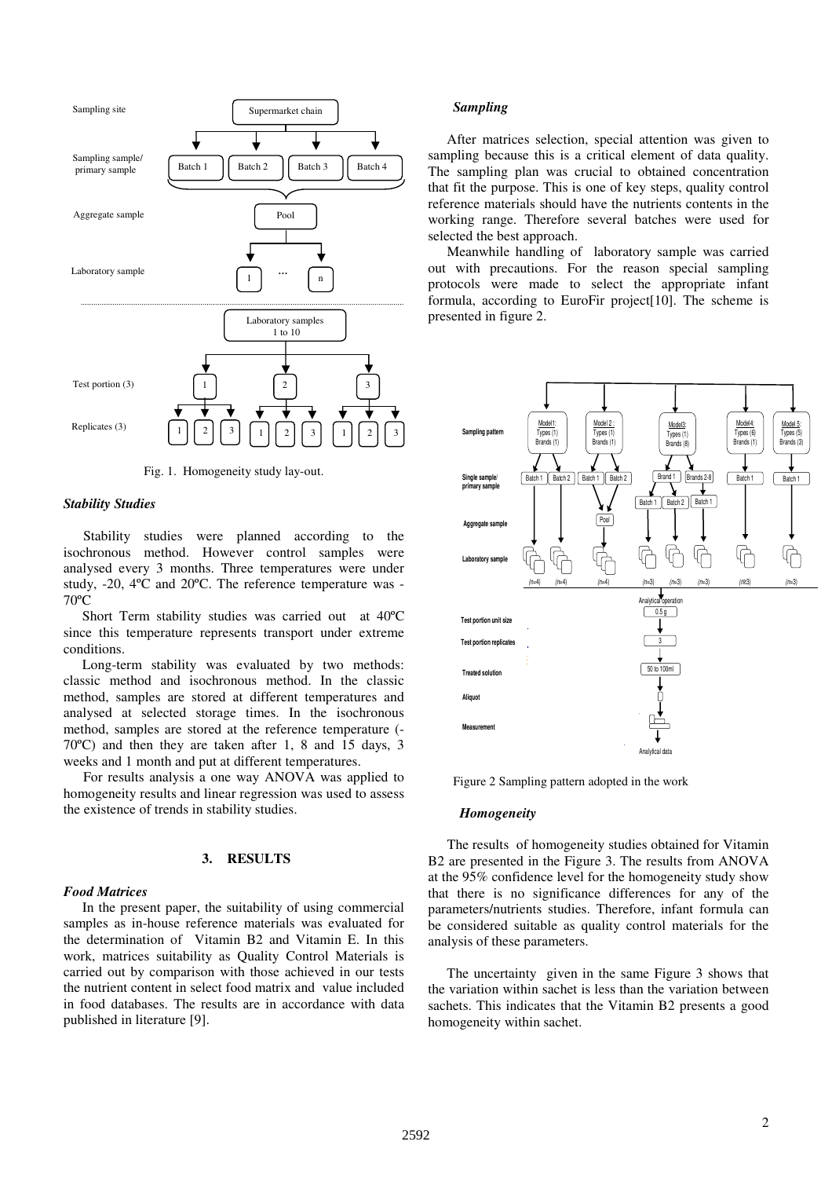

Fig. 1. Homogeneity study lay-out.

### *Stability Studies*

Stability studies were planned according to the isochronous method. However control samples were analysed every 3 months. Three temperatures were under study, -20, 4ºC and 20ºC. The reference temperature was - 70ºC

Short Term stability studies was carried out at 40ºC since this temperature represents transport under extreme conditions.

Long-term stability was evaluated by two methods: classic method and isochronous method. In the classic method, samples are stored at different temperatures and analysed at selected storage times. In the isochronous method, samples are stored at the reference temperature (- 70ºC) and then they are taken after 1, 8 and 15 days, 3 weeks and 1 month and put at different temperatures.

For results analysis a one way ANOVA was applied to homogeneity results and linear regression was used to assess the existence of trends in stability studies.

### **3. RESULTS**

### *Food Matrices*

In the present paper, the suitability of using commercial samples as in-house reference materials was evaluated for the determination of Vitamin B2 and Vitamin E. In this work, matrices suitability as Quality Control Materials is carried out by comparison with those achieved in our tests the nutrient content in select food matrix and value included in food databases. The results are in accordance with data published in literature [9].

#### *Sampling*

After matrices selection, special attention was given to sampling because this is a critical element of data quality. The sampling plan was crucial to obtained concentration that fit the purpose. This is one of key steps, quality control reference materials should have the nutrients contents in the working range. Therefore several batches were used for selected the best approach.

Meanwhile handling of laboratory sample was carried out with precautions. For the reason special sampling protocols were made to select the appropriate infant formula, according to EuroFir project[10]. The scheme is presented in figure 2.



Figure 2 Sampling pattern adopted in the work

#### *Homogeneity*

The results of homogeneity studies obtained for Vitamin B2 are presented in the Figure 3. The results from ANOVA at the 95% confidence level for the homogeneity study show that there is no significance differences for any of the parameters/nutrients studies. Therefore, infant formula can be considered suitable as quality control materials for the analysis of these parameters.

The uncertainty given in the same Figure 3 shows that the variation within sachet is less than the variation between sachets. This indicates that the Vitamin B2 presents a good homogeneity within sachet.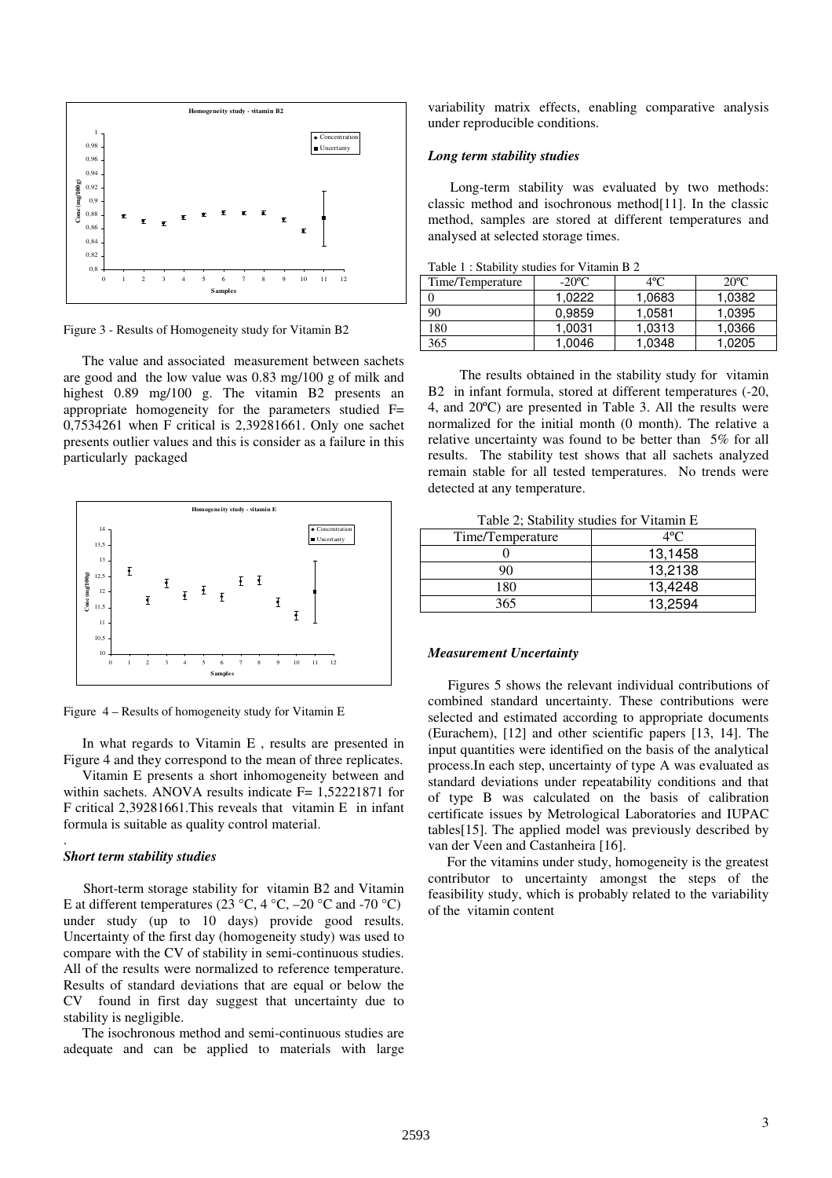

Figure 3 - Results of Homogeneity study for Vitamin B2

The value and associated measurement between sachets are good and the low value was 0.83 mg/100 g of milk and highest 0.89 mg/100 g. The vitamin B2 presents an appropriate homogeneity for the parameters studied F= 0,7534261 when F critical is 2,39281661. Only one sachet presents outlier values and this is consider as a failure in this particularly packaged



Figure 4 – Results of homogeneity study for Vitamin E

In what regards to Vitamin E , results are presented in Figure 4 and they correspond to the mean of three replicates.

Vitamin E presents a short inhomogeneity between and within sachets. ANOVA results indicate F= 1,52221871 for F critical 2,39281661.This reveals that vitamin E in infant formula is suitable as quality control material.

### *Short term stability studies*

.

Short-term storage stability for vitamin B2 and Vitamin E at different temperatures (23 °C, 4 °C, –20 °C and -70 °C) under study (up to 10 days) provide good results. Uncertainty of the first day (homogeneity study) was used to compare with the CV of stability in semi-continuous studies. All of the results were normalized to reference temperature. Results of standard deviations that are equal or below the CV found in first day suggest that uncertainty due to stability is negligible.

The isochronous method and semi-continuous studies are adequate and can be applied to materials with large variability matrix effects, enabling comparative analysis under reproducible conditions.

#### *Long term stability studies*

Long-term stability was evaluated by two methods: classic method and isochronous method[11]. In the classic method, samples are stored at different temperatures and analysed at selected storage times.

| $10010 + 30000$  |                 |              |                |
|------------------|-----------------|--------------|----------------|
| Time/Temperature | $-20^{\circ}$ C | $4^{\circ}C$ | $20^{\circ}$ C |
|                  | 1.0222          | 1,0683       | 1.0382         |
| 90               | 0.9859          | 1.0581       | 1.0395         |
| 180              | 1.0031          | 1.0313       | 1,0366         |
| 365              | 1.0046          | 1.0348       | .0205          |

Table 1 : Stability studies for Vitamin B 2

The results obtained in the stability study for vitamin B2 in infant formula, stored at different temperatures (-20, 4, and 20ºC) are presented in Table 3. All the results were normalized for the initial month (0 month). The relative a relative uncertainty was found to be better than 5% for all results. The stability test shows that all sachets analyzed remain stable for all tested temperatures. No trends were detected at any temperature.

Table 2; Stability studies for Vitamin E

| Time/Temperature | $4^{\circ}C$ |
|------------------|--------------|
|                  | 13,1458      |
|                  | 13,2138      |
| 180              | 13,4248      |
| 365              | 13.2594      |

#### *Measurement Uncertainty*

Figures 5 shows the relevant individual contributions of combined standard uncertainty. These contributions were selected and estimated according to appropriate documents (Eurachem), [12] and other scientific papers [13, 14]. The input quantities were identified on the basis of the analytical process.In each step, uncertainty of type A was evaluated as standard deviations under repeatability conditions and that of type B was calculated on the basis of calibration certificate issues by Metrological Laboratories and IUPAC tables[15]. The applied model was previously described by van der Veen and Castanheira [16].

For the vitamins under study, homogeneity is the greatest contributor to uncertainty amongst the steps of the feasibility study, which is probably related to the variability of the vitamin content